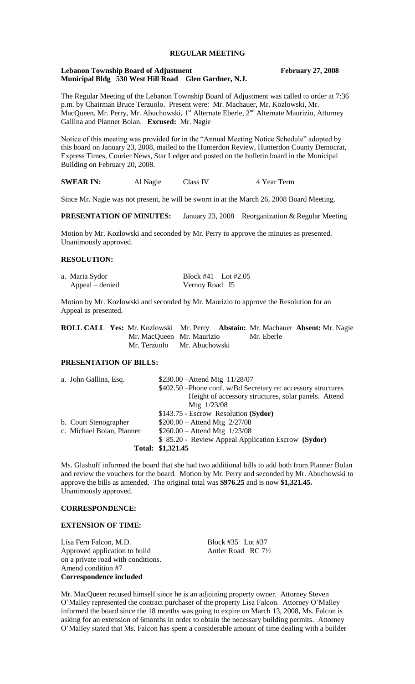# **REGULAR MEETING**

#### **Lebanon Township Board of Adjustment February 27, 2008 Municipal Bldg 530 West Hill Road Glen Gardner, N.J.**

The Regular Meeting of the Lebanon Township Board of Adjustment was called to order at 7:36 p.m. by Chairman Bruce Terzuolo. Present were: Mr. Machauer, Mr. Kozlowski, Mr. MacQueen, Mr. Perry, Mr. Abuchowski, 1<sup>st</sup> Alternate Eberle, 2<sup>nd</sup> Alternate Maurizio, Attorney Gallina and Planner Bolan. **Excused:** Mr. Nagie

Notice of this meeting was provided for in the "Annual Meeting Notice Schedule" adopted by this board on January 23, 2008, mailed to the Hunterdon Review, Hunterdon County Democrat, Express Times, Courier News, Star Ledger and posted on the bulletin board in the Municipal Building on February 20, 2008.

**SWEAR IN:** Al Nagie Class IV 4 Year Term

Since Mr. Nagie was not present, he will be sworn in at the March 26, 2008 Board Meeting.

**PRESENTATION OF MINUTES:** January 23, 2008 Reorganization & Regular Meeting

Motion by Mr. Kozlowski and seconded by Mr. Perry to approve the minutes as presented. Unanimously approved.

### **RESOLUTION:**

| a. Maria Sydor  | Block #41 Lot #2.05 |  |
|-----------------|---------------------|--|
| Appeal – denied | Vernoy Road I5      |  |

Motion by Mr. Kozlowski and seconded by Mr. Maurizio to approve the Resolution for an Appeal as presented.

|                           | <b>ROLL CALL Yes:</b> Mr. Kozlowski Mr. Perry <b>Abstain:</b> Mr. Machauer <b>Absent:</b> Mr. Nagie |            |  |
|---------------------------|-----------------------------------------------------------------------------------------------------|------------|--|
| Mr. MacQueen Mr. Maurizio |                                                                                                     | Mr. Eberle |  |
|                           | Mr. Terzuolo Mr. Abuchowski                                                                         |            |  |

## **PRESENTATION OF BILLS:**

| a. John Gallina, Esq.     | \$230.00 - Attend Mtg 11/28/07                                 |
|---------------------------|----------------------------------------------------------------|
|                           | \$402.50 – Phone conf. w/Bd Secretary re: accessory structures |
|                           | Height of accessory structures, solar panels. Attend           |
|                           | Mtg 1/23/08                                                    |
|                           | \$143.75 - Escrow Resolution (Sydor)                           |
| b. Court Stenographer     | $$200.00 -$ Attend Mtg $2/27/08$                               |
| c. Michael Bolan, Planner | $$260.00 -$ Attend Mtg $1/23/08$                               |
|                           | \$ 85.20 - Review Appeal Application Escrow (Sydor)            |
|                           | Total: \$1,321.45                                              |

Ms. Glashoff informed the board that she had two additional bills to add both from Planner Bolan and review the vouchers for the board. Motion by Mr. Perry and seconded by Mr. Abuchowski to approve the bills as amended. The original total was **\$976.25** and is now **\$1,321.45.**  Unanimously approved.

#### **CORRESPONDENCE:**

### **EXTENSION OF TIME:**

Lisa Fern Falcon, M.D. Block #35 Lot #37 Approved application to build Antler Road RC 7½ on a private road with conditions. Amend condition #7 **Correspondence included**

Mr. MacQueen recused himself since he is an adjoining property owner. Attorney Steven O'Malley represented the contract purchaser of the property Lisa Falcon. Attorney O'Malley informed the board since the 18 months was going to expire on March 13, 2008, Ms. Falcon is asking for an extension of 6months in order to obtain the necessary building permits. Attorney O'Malley stated that Ms. Falcon has spent a considerable amount of time dealing with a builder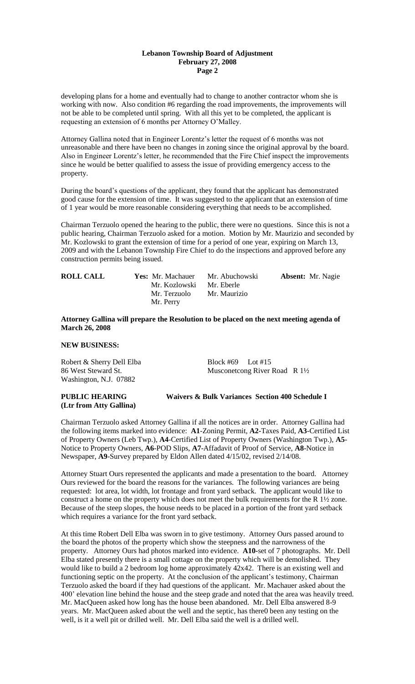## **Lebanon Township Board of Adjustment February 27, 2008 Page 2**

developing plans for a home and eventually had to change to another contractor whom she is working with now. Also condition #6 regarding the road improvements, the improvements will not be able to be completed until spring. With all this yet to be completed, the applicant is requesting an extension of 6 months per Attorney O'Malley.

Attorney Gallina noted that in Engineer Lorentz's letter the request of 6 months was not unreasonable and there have been no changes in zoning since the original approval by the board. Also in Engineer Lorentz's letter, he recommended that the Fire Chief inspect the improvements since he would be better qualified to assess the issue of providing emergency access to the property.

During the board's questions of the applicant, they found that the applicant has demonstrated good cause for the extension of time. It was suggested to the applicant that an extension of time of 1 year would be more reasonable considering everything that needs to be accomplished.

Chairman Terzuolo opened the hearing to the public, there were no questions. Since this is not a public hearing, Chairman Terzuolo asked for a motion. Motion by Mr. Maurizio and seconded by Mr. Kozlowski to grant the extension of time for a period of one year, expiring on March 13, 2009 and with the Lebanon Township Fire Chief to do the inspections and approved before any construction permits being issued.

| <b>ROLL CALL</b> | <b>Yes:</b> Mr. Machauer<br>Mr. Kozlowski Mr. Eberle | <b>Absent:</b> Mr. Nagie<br>Mr. Abuchowski |  |
|------------------|------------------------------------------------------|--------------------------------------------|--|
|                  | Mr. Terzuolo<br>Mr. Perry                            | Mr. Maurizio                               |  |

## **Attorney Gallina will prepare the Resolution to be placed on the next meeting agenda of March 26, 2008**

## **NEW BUSINESS:**

Robert & Sherry Dell Elba Block #69 Lot #15 Washington, N.J. 07882

86 West Steward St. Musconetcong River Road R  $1\frac{1}{2}$ 

# **PUBLIC HEARING Waivers & Bulk Variances Section 400 Schedule I (Ltr from Atty Gallina)**

Chairman Terzuolo asked Attorney Gallina if all the notices are in order. Attorney Gallina had the following items marked into evidence: **A1**-Zoning Permit, **A2-**Taxes Paid, **A3**-Certified List of Property Owners (Leb Twp.), **A4**-Certified List of Property Owners (Washington Twp.), **A5**- Notice to Property Owners, **A6**-POD Slips, **A7**-Affadavit of Proof of Service, **A8**-Notice in Newspaper, **A9**-Survey prepared by Eldon Allen dated 4/15/02, revised 2/14/08.

Attorney Stuart Ours represented the applicants and made a presentation to the board. Attorney Ours reviewed for the board the reasons for the variances. The following variances are being requested: lot area, lot width, lot frontage and front yard setback. The applicant would like to construct a home on the property which does not meet the bulk requirements for the R 1½ zone. Because of the steep slopes, the house needs to be placed in a portion of the front yard setback which requires a variance for the front yard setback.

At this time Robert Dell Elba was sworn in to give testimony. Attorney Ours passed around to the board the photos of the property which show the steepness and the narrowness of the property. Attorney Ours had photos marked into evidence. **A10-**set of 7 photographs. Mr. Dell Elba stated presently there is a small cottage on the property which will be demolished. They would like to build a 2 bedroom log home approximately 42x42. There is an existing well and functioning septic on the property. At the conclusion of the applicant's testimony, Chairman Terzuolo asked the board if they had questions of the applicant. Mr. Machauer asked about the 400' elevation line behind the house and the steep grade and noted that the area was heavily treed. Mr. MacQueen asked how long has the house been abandoned. Mr. Dell Elba answered 8-9 years. Mr. MacQueen asked about the well and the septic, has there0 been any testing on the well, is it a well pit or drilled well. Mr. Dell Elba said the well is a drilled well.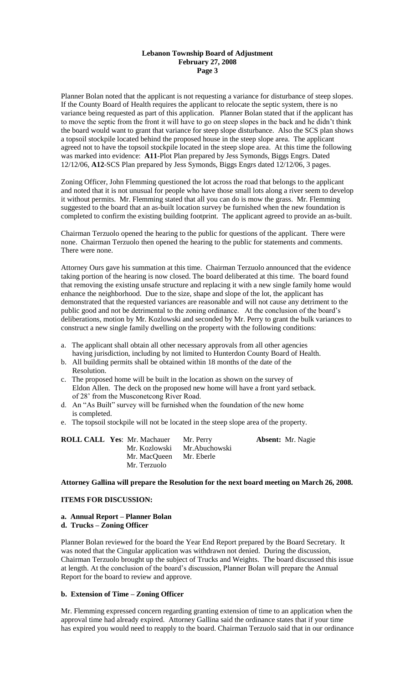## **Lebanon Township Board of Adjustment February 27, 2008 Page 3**

Planner Bolan noted that the applicant is not requesting a variance for disturbance of steep slopes. If the County Board of Health requires the applicant to relocate the septic system, there is no variance being requested as part of this application. Planner Bolan stated that if the applicant has to move the septic from the front it will have to go on steep slopes in the back and he didn't think the board would want to grant that variance for steep slope disturbance. Also the SCS plan shows a topsoil stockpile located behind the proposed house in the steep slope area. The applicant agreed not to have the topsoil stockpile located in the steep slope area. At this time the following was marked into evidence: **A11**-Plot Plan prepared by Jess Symonds, Biggs Engrs. Dated 12/12/06, **A12**-SCS Plan prepared by Jess Symonds, Biggs Engrs dated 12/12/06, 3 pages.

Zoning Officer, John Flemming questioned the lot across the road that belongs to the applicant and noted that it is not unusual for people who have those small lots along a river seem to develop it without permits. Mr. Flemming stated that all you can do is mow the grass. Mr. Flemming suggested to the board that an as-built location survey be furnished when the new foundation is completed to confirm the existing building footprint. The applicant agreed to provide an as-built.

Chairman Terzuolo opened the hearing to the public for questions of the applicant. There were none. Chairman Terzuolo then opened the hearing to the public for statements and comments. There were none.

Attorney Ours gave his summation at this time. Chairman Terzuolo announced that the evidence taking portion of the hearing is now closed. The board deliberated at this time. The board found that removing the existing unsafe structure and replacing it with a new single family home would enhance the neighborhood. Due to the size, shape and slope of the lot, the applicant has demonstrated that the requested variances are reasonable and will not cause any detriment to the public good and not be detrimental to the zoning ordinance. At the conclusion of the board's deliberations, motion by Mr. Kozlowski and seconded by Mr. Perry to grant the bulk variances to construct a new single family dwelling on the property with the following conditions:

- a. The applicant shall obtain all other necessary approvals from all other agencies having jurisdiction, including by not limited to Hunterdon County Board of Health.
- b. All building permits shall be obtained within 18 months of the date of the Resolution.
- c. The proposed home will be built in the location as shown on the survey of Eldon Allen. The deck on the proposed new home will have a front yard setback. of 28' from the Musconetcong River Road.
- d. An "As Built" survey will be furnished when the foundation of the new home is completed.
- e. The topsoil stockpile will not be located in the steep slope area of the property.

| <b>ROLL CALL Yes: Mr. Machauer</b> | Mr. Perry                    | <b>Absent:</b> Mr. Nagie |
|------------------------------------|------------------------------|--------------------------|
|                                    | Mr. Kozlowski Mr. Abuchowski |                          |
| Mr. MacQueen Mr. Eberle            |                              |                          |
| Mr. Terzuolo                       |                              |                          |

#### **Attorney Gallina will prepare the Resolution for the next board meeting on March 26, 2008.**

# **ITEMS FOR DISCUSSION:**

#### **a. Annual Report – Planner Bolan**

**d. Trucks – Zoning Officer**

Planner Bolan reviewed for the board the Year End Report prepared by the Board Secretary. It was noted that the Cingular application was withdrawn not denied. During the discussion, Chairman Terzuolo brought up the subject of Trucks and Weights. The board discussed this issue at length. At the conclusion of the board's discussion, Planner Bolan will prepare the Annual Report for the board to review and approve.

### **b. Extension of Time – Zoning Officer**

Mr. Flemming expressed concern regarding granting extension of time to an application when the approval time had already expired. Attorney Gallina said the ordinance states that if your time has expired you would need to reapply to the board. Chairman Terzuolo said that in our ordinance